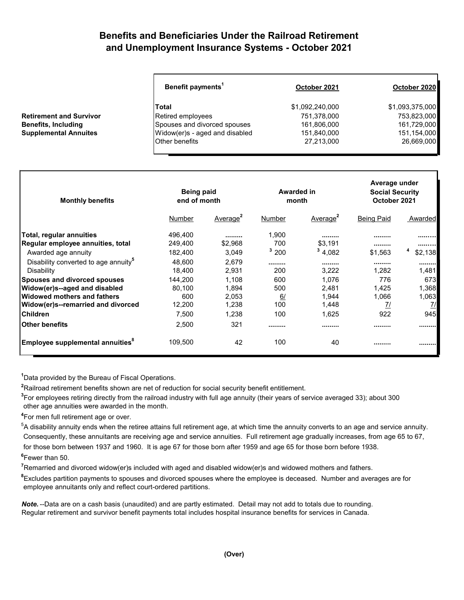## **Benefits and Beneficiaries Under the Railroad Retirement and Unemployment Insurance Systems - October 2021**

| Benefit payments <sup>1</sup> | October 2021                   | October 2020    |  |
|-------------------------------|--------------------------------|-----------------|--|
| <b>Total</b>                  | \$1,092,240,000                | \$1,093,375,000 |  |
| Retired employees             | 751,378,000                    | 753,823,000     |  |
| Spouses and divorced spouses  | 161,806,000                    | 161,729,000     |  |
|                               | 151,840,000                    | 151,154,000     |  |
| <b>Other benefits</b>         | 27,213,000                     | 26,669,000      |  |
|                               | Widow(er)s - aged and disabled |                 |  |

| <b>Monthly benefits</b>                          | <b>Being paid</b><br>end of month |                      | Awarded in<br>month |                      | Average under<br><b>Social Security</b><br>October 2021 |         |
|--------------------------------------------------|-----------------------------------|----------------------|---------------------|----------------------|---------------------------------------------------------|---------|
|                                                  | Number                            | Average <sup>2</sup> | Number              | Average <sup>2</sup> | <b>Being Paid</b>                                       | Awarded |
| Total, regular annuities                         | 496,400                           |                      | 1,900               |                      |                                                         |         |
| Regular employee annuities, total                | 249,400                           | \$2,968              | 700                 | \$3,191              |                                                         |         |
| Awarded age annuity                              | 182,400                           | 3,049                | 3200                | 34,082               | \$1,563                                                 | \$2,138 |
| Disability converted to age annuity <sup>5</sup> | 48,600                            | 2,679                |                     |                      |                                                         |         |
| Disability                                       | 18,400                            | 2,931                | 200                 | 3,222                | 1,282                                                   | 1,481   |
| <b>Spouses and divorced spouses</b>              | 144,200                           | 1,108                | 600                 | 1,076                | 776                                                     | 673I    |
| Widow(er)s--aged and disabled                    | 80,100                            | 1,894                | 500                 | 2,481                | 1,425                                                   | 1,368   |
| <b>Widowed mothers and fathers</b>               | 600                               | 2,053                | 6/                  | 1,944                | 1,066                                                   | 1,063   |
| Widow(er)s--remarried and divorced               | 12,200                            | 1,238                | 100                 | 1,448                | <u>71</u>                                               | 7/      |
| <b>Children</b>                                  | 7,500                             | 1,238                | 100                 | 1,625                | 922                                                     | 945     |
| <b>Other benefits</b>                            | 2,500                             | 321                  |                     |                      |                                                         |         |
| $ {\sf Employee}$ supplemental annuities $^8$    | 109,500                           | 42                   | 100                 | 40                   |                                                         |         |

**1** Data provided by the Bureau of Fiscal Operations.

**2** Railroad retirement benefits shown are net of reduction for social security benefit entitlement.

**3** For employees retiring directly from the railroad industry with full age annuity (their years of service averaged 33); about 300 other age annuities were awarded in the month.

**4** For men full retirement age or over.

 $^5$ A disability annuity ends when the retiree attains full retirement age, at which time the annuity converts to an age and service annuity. Consequently, these annuitants are receiving age and service annuities. Full retirement age gradually increases, from age 65 to 67, for those born between 1937 and 1960. It is age 67 for those born after 1959 and age 65 for those born before 1938.

**6** Fewer than 50.

**7** Remarried and divorced widow(er)s included with aged and disabled widow(er)s and widowed mothers and fathers.

**8** Excludes partition payments to spouses and divorced spouses where the employee is deceased. Number and averages are for employee annuitants only and reflect court-ordered partitions.

*Note.* --Data are on a cash basis (unaudited) and are partly estimated. Detail may not add to totals due to rounding. Regular retirement and survivor benefit payments total includes hospital insurance benefits for services in Canada.